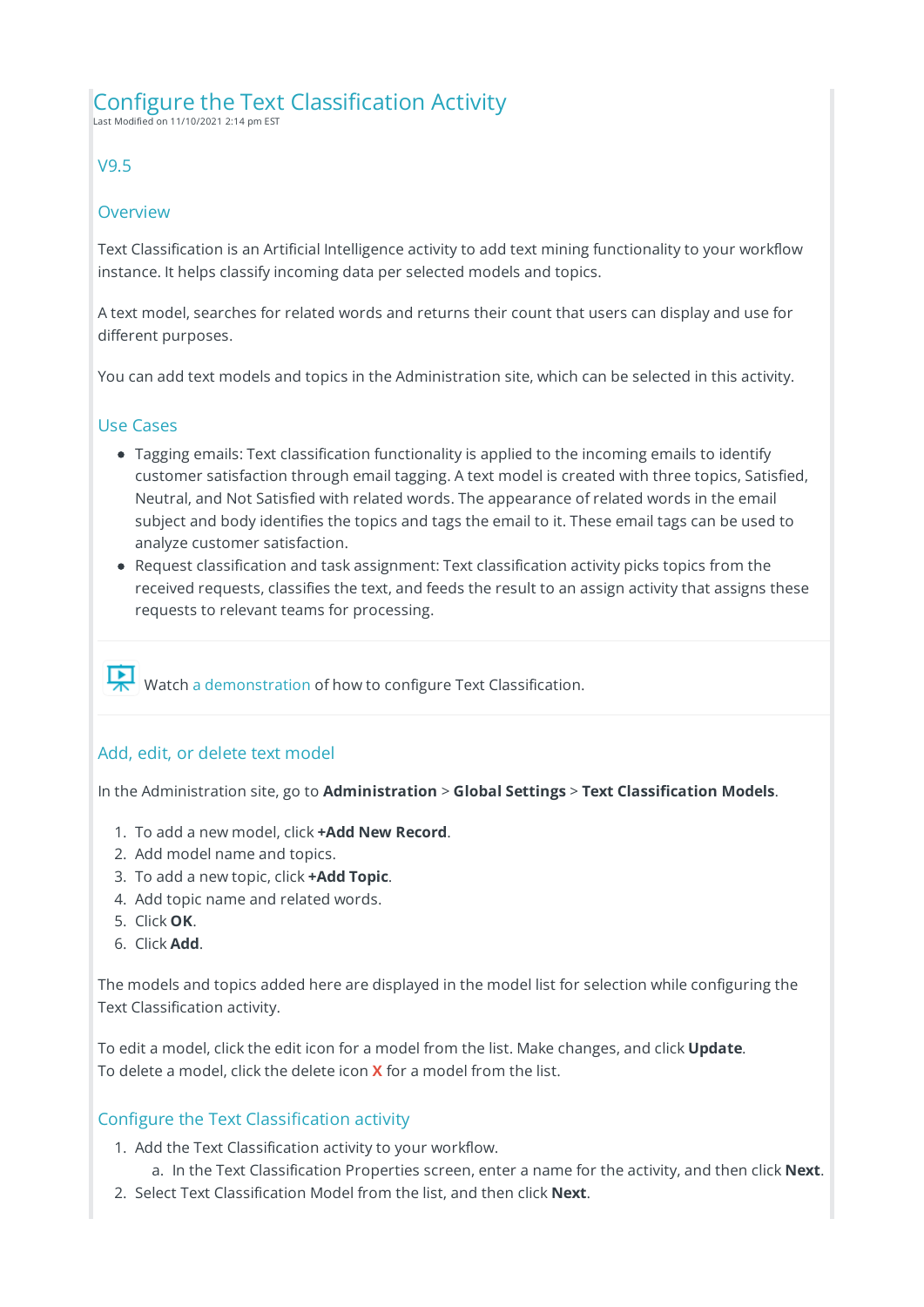# Configure the Text Classification Activity

Last Modified on 11/10/2021 2:14 pm EST

## V9.5

### Overview

Text Classification is an Artificial Intelligence activity to add text mining functionality to your workflow instance. It helps classify incoming data per selected models and topics.

A text model, searches for related words and returns their count that users can display and use for different purposes.

You can add text models and topics in the Administration site, which can be selected in this activity.

## Use Cases

- Tagging emails: Text classification functionality is applied to the incoming emails to identify customer satisfaction through email tagging. A text model is created with three topics, Satisfied, Neutral, and Not Satisfied with related words. The appearance of related words in the email subject and body identifies the topics and tags the email to it. These email tags can be used to analyze customer satisfaction.
- Request classification and task assignment: Text classification activity picks topics from the received requests, classifies the text, and feeds the result to an assign activity that assigns these requests to relevant teams for processing.

Watch a demonstration of how to configure Text Classification.

## Add, edit, or delete text model

In the Administration site, go to **Administration** > **Global Settings** > **Text Classification Models**.

- 1. To add a new model, click **+Add New Record**.
- 2. Add model name and topics.
- 3. To add a new topic, click **+Add Topic**.
- 4. Add topic name and related words.
- 5. Click **OK**.
- 6. Click **Add**.

The models and topics added here are displayed in the model list for selection while configuring the Text Classification activity.

To edit a model, click the edit icon for a model from the list. Make changes, and click **Update**. To delete a model, click the delete icon **X** for a model from the list.

#### Configure the Text Classification activity

- 1. Add the Text Classification activity to your workflow.
	- a. In the Text Classification Properties screen, enter a name for the activity, and then click **Next**.
- 2. Select Text Classification Model from the list, and then click **Next**.